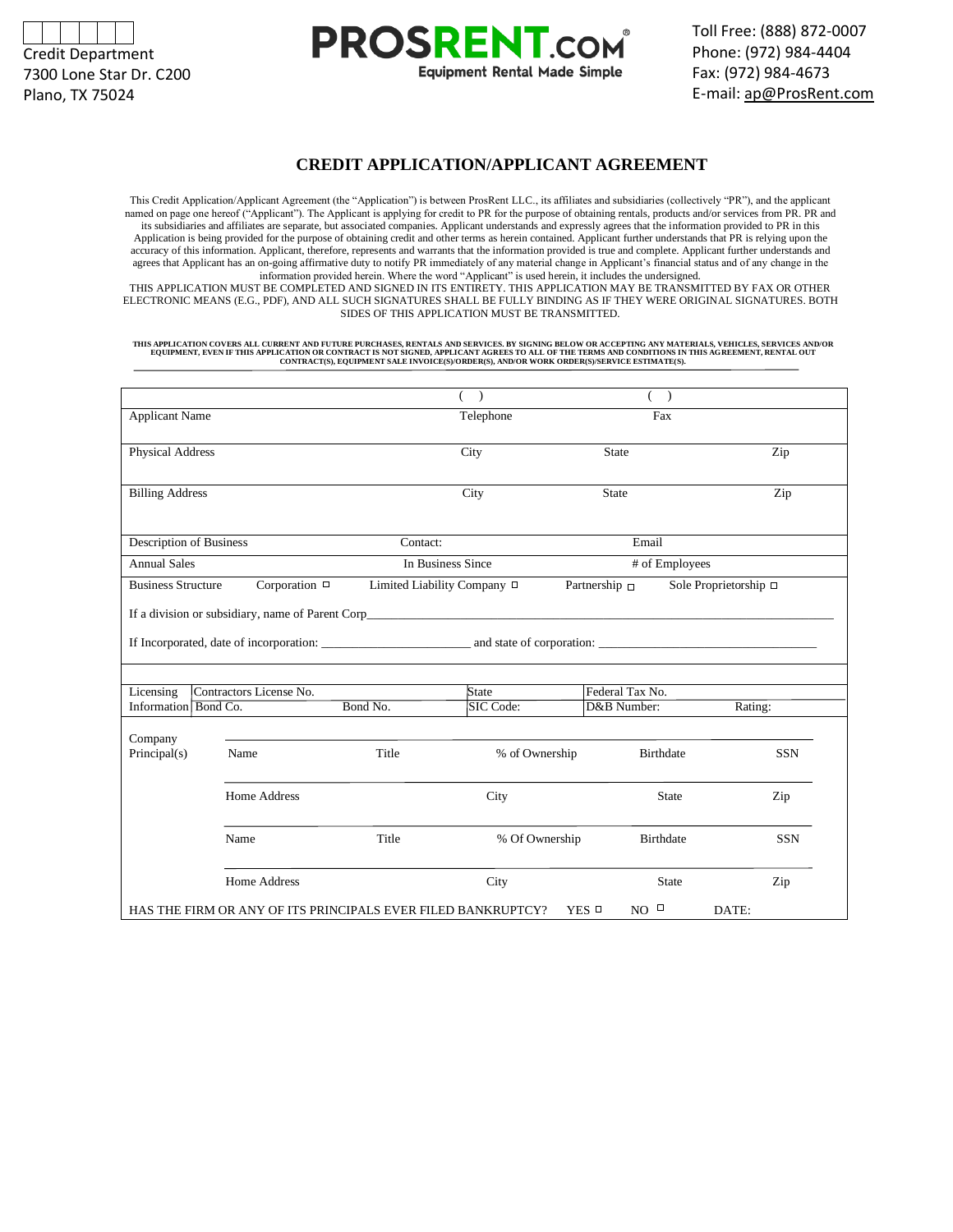



### **CREDIT APPLICATION/APPLICANT AGREEMENT**

**Equipment Rental Made Simple** 

This Credit Application/Applicant Agreement (the "Application") is between ProsRent LLC., its affiliates and subsidiaries (collectively "PR"), and the applicant named on page one hereof ("Applicant"). The Applicant is applying for credit to PR for the purpose of obtaining rentals, products and/or services from PR. PR and its subsidiaries and affiliates are separate, but associated companies. Applicant understands and expressly agrees that the information provided to PR in this Application is being provided for the purpose of obtaining credit and other terms as herein contained. Applicant further understands that PR is relying upon the accuracy of this information. Applicant, therefore, represents and warrants that the information provided is true and complete. Applicant further understands and agrees that Applicant has an on-going affirmative duty to notify PR immediately of any material change in Applicant's financial status and of any change in the information provided herein. Where the word "Applicant" is used herein, it includes the undersigned. THIS APPLICATION MUST BE COMPLETED AND SIGNED IN ITS ENTIRETY. THIS APPLICATION MAY BE TRANSMITTED BY FAX OR OTHER

**PROSRENT.COM** 

ELECTRONIC MEANS (E.G., PDF), AND ALL SUCH SIGNATURES SHALL BE FULLY BINDING AS IF THEY WERE ORIGINAL SIGNATURES. BOTH SIDES OF THIS APPLICATION MUST BE TRANSMITTED.

THIS APPLICATION COVERS ALL CURRENT AND FUTURE PURCHASES, RENTALS AND SERVICES. BY SIGNING BELOW OR ACCEPTING ANY MATERIALS, VEHICLES, SERVICES AND/OR<br>EQUIPMENT, EVEN IF THIS APPLICATION OR CONTRACT IS NOT SIGNED, APPLICAN

| <b>Applicant Name</b>                                        |                                                                                                                                                                                                                                |          | Telephone                   |     | Fax                            |                       |  |
|--------------------------------------------------------------|--------------------------------------------------------------------------------------------------------------------------------------------------------------------------------------------------------------------------------|----------|-----------------------------|-----|--------------------------------|-----------------------|--|
| Physical Address                                             |                                                                                                                                                                                                                                |          | City                        |     | <b>State</b>                   | Zip                   |  |
| <b>Billing Address</b>                                       |                                                                                                                                                                                                                                |          | City                        |     | <b>State</b>                   | Zip                   |  |
| Description of Business                                      |                                                                                                                                                                                                                                |          | Contact:                    |     | Email                          |                       |  |
| <b>Annual Sales</b>                                          |                                                                                                                                                                                                                                |          | In Business Since           |     | # of Employees                 |                       |  |
|                                                              | <b>Business Structure</b><br>Corporation $\Box$                                                                                                                                                                                |          | Limited Liability Company □ |     | Partnership $\Box$             | Sole Proprietorship □ |  |
|                                                              | If a division or subsidiary, name of Parent Corpetition of the state of the state of the state of the state of Parent Corpetition of the state of the state of the state of the state of the state of the state of the state o |          |                             |     |                                |                       |  |
|                                                              |                                                                                                                                                                                                                                |          |                             |     |                                |                       |  |
| Contractors License No.<br>Licensing<br>Information Bond Co. |                                                                                                                                                                                                                                | Bond No. | State<br>SIC Code:          |     | Federal Tax No.<br>D&B Number: | Rating:               |  |
|                                                              |                                                                                                                                                                                                                                |          |                             |     |                                |                       |  |
| Company<br>Principal(s)                                      | Name                                                                                                                                                                                                                           | Title    | % of Ownership              |     | Birthdate                      | <b>SSN</b>            |  |
|                                                              | <b>Home Address</b>                                                                                                                                                                                                            |          | City                        |     | <b>State</b>                   | Zip                   |  |
|                                                              | Name                                                                                                                                                                                                                           | Title    | % Of Ownership              |     | <b>Birthdate</b>               | <b>SSN</b>            |  |
|                                                              | <b>Home Address</b>                                                                                                                                                                                                            |          | City                        |     | <b>State</b>                   | Zip                   |  |
|                                                              | HAS THE FIRM OR ANY OF ITS PRINCIPALS EVER FILED BANKRUPTCY?                                                                                                                                                                   |          |                             | YES | $\Box$<br>NO.                  | DATE:                 |  |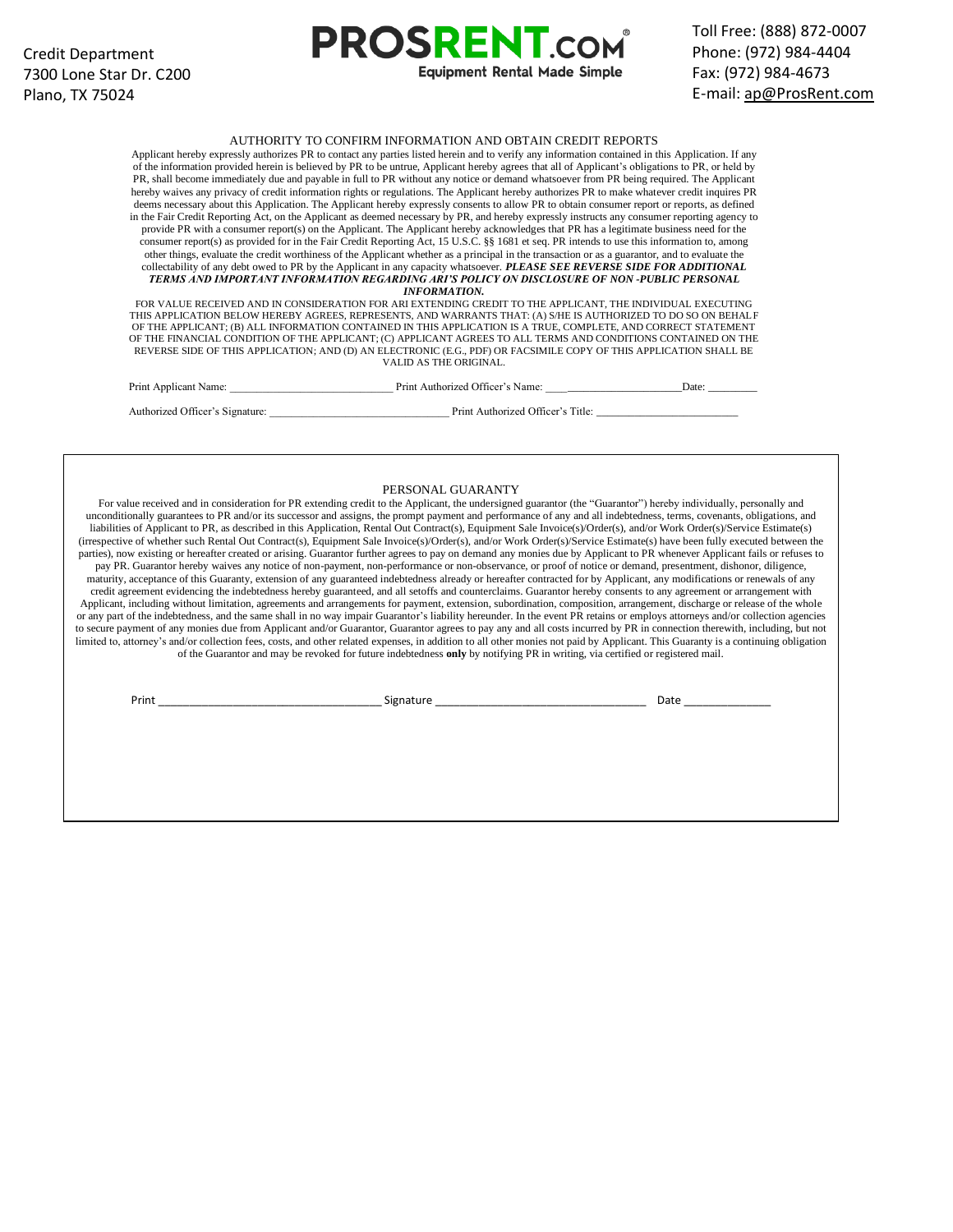## Toll Free: (888) 872-0007 Phone: (972) 984-4404 Fax: (972) 984-4673 E-mail: ap@ProsRent.com

#### AUTHORITY TO CONFIRM INFORMATION AND OBTAIN CREDIT REPORTS

**PROSRENT CON** 

**Equipment Rental Made Simple** 

Applicant hereby expressly authorizes PR to contact any parties listed herein and to verify any information contained in this Application. If any of the information provided herein is believed by PR to be untrue, Applicant hereby agrees that all of Applicant's obligations to PR, or held by PR, shall become immediately due and payable in full to PR without any notice or demand whatsoever from PR being required. The Applicant hereby waives any privacy of credit information rights or regulations. The Applicant hereby authorizes PR to make whatever credit inquires PR deems necessary about this Application. The Applicant hereby expressly consents to allow PR to obtain consumer report or reports, as defined in the Fair Credit Reporting Act, on the Applicant as deemed necessary by PR, and hereby expressly instructs any consumer reporting agency to provide PR with a consumer report(s) on the Applicant. The Applicant hereby acknowledges that PR has a legitimate business need for the consumer report(s) as provided for in the Fair Credit Reporting Act, 15 U.S.C. §§ 1681 et seq. PR intends to use this information to, among other things, evaluate the credit worthiness of the Applicant whether as a principal in the transaction or as a guarantor, and to evaluate the collectability of any debt owed to PR by the Applicant in any capacity whatsoever. *PLEASE SEE REVERSE SIDE FOR ADDITIONAL TERMS AND IMPORTANT INFORMATION REGARDING ARI'S POLICY ON DISCLOSURE OF NON -PUBLIC PERSONAL INFORMATION.*

FOR VALUE RECEIVED AND IN CONSIDERATION FOR ARI EXTENDING CREDIT TO THE APPLICANT, THE INDIVIDUAL EXECUTING THIS APPLICATION BELOW HEREBY AGREES, REPRESENTS, AND WARRANTS THAT: (A) S/HE IS AUTHORIZED TO DO SO ON BEHALF OF THE APPLICANT; (B) ALL INFORMATION CONTAINED IN THIS APPLICATION IS A TRUE, COMPLETE, AND CORRECT STATEMENT OF THE FINANCIAL CONDITION OF THE APPLICANT; (C) APPLICANT AGREES TO ALL TERMS AND CONDITIONS CONTAINED ON THE REVERSE SIDE OF THIS APPLICATION; AND (D) AN ELECTRONIC (E.G., PDF) OR FACSIMILE COPY OF THIS APPLICATION SHALL BE VALID AS THE ORIGINAL.

| Print Applicant Name:           | Print Authorized Officer's Name:  | Date: |
|---------------------------------|-----------------------------------|-------|
| Authorized Officer's Signature: | Print Authorized Officer's Title: |       |

#### PERSONAL GUARANTY

For value received and in consideration for PR extending credit to the Applicant, the undersigned guarantor (the "Guarantor") hereby individually, personally and unconditionally guarantees to PR and/or its successor and assigns, the prompt payment and performance of any and all indebtedness, terms, covenants, obligations, and liabilities of Applicant to PR, as described in this Application, Rental Out Contract(s), Equipment Sale Invoice(s)/Order(s), and/or Work Order(s)/Service Estimate(s) (irrespective of whether such Rental Out Contract(s), Equipment Sale Invoice(s)/Order(s), and/or Work Order(s)/Service Estimate(s) have been fully executed between the parties), now existing or hereafter created or arising. Guarantor further agrees to pay on demand any monies due by Applicant to PR whenever Applicant fails or refuses to pay PR. Guarantor hereby waives any notice of non-payment, non-performance or non-observance, or proof of notice or demand, presentment, dishonor, diligence, maturity, acceptance of this Guaranty, extension of any guaranteed indebtedness already or hereafter contracted for by Applicant, any modifications or renewals of any credit agreement evidencing the indebtedness hereby guaranteed, and all setoffs and counterclaims. Guarantor hereby consents to any agreement or arrangement with Applicant, including without limitation, agreements and arrangements for payment, extension, subordination, composition, arrangement, discharge or release of the whole or any part of the indebtedness, and the same shall in no way impair Guarantor's liability hereunder. In the event PR retains or employs attorneys and/or collection agencies to secure payment of any monies due from Applicant and/or Guarantor, Guarantor agrees to pay any and all costs incurred by PR in connection therewith, including, but not limited to, attorney's and/or collection fees, costs, and other related expenses, in addition to all other monies not paid by Applicant. This Guaranty is a continuing obligation of the Guarantor and may be revoked for future indebtedness **only** by notifying PR in writing, via certified or registered mail.

Print \_\_\_\_\_\_\_\_\_\_\_\_\_\_\_\_\_\_\_\_\_\_\_\_\_\_\_\_\_\_\_\_\_\_\_\_ Signature \_\_\_\_\_\_\_\_\_\_\_\_\_\_\_\_\_\_\_\_\_\_\_\_\_\_\_\_\_\_\_\_\_\_ Date \_\_\_\_\_\_\_\_\_\_\_\_\_\_